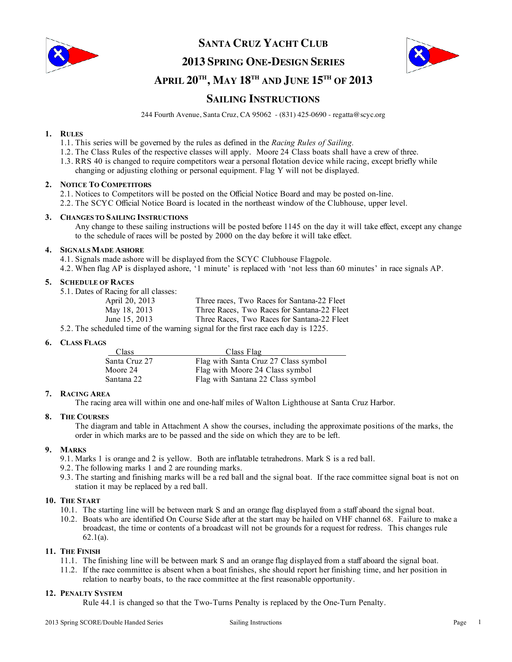

**SANTA CRUZ YACHT CLUB**

## **2013 SPRING ONE-DESIGN SERIES**

# **APRIL 20TH, MAY 18TH AND JUNE 15TH OF 2013**

## **SAILING INSTRUCTIONS**

244 Fourth Avenue, Santa Cruz, CA 95062 - (831) 425-0690 - regatta@scyc.org

### **1. RULES**

- 1.1. This series will be governed by the rules as defined in the *Racing Rules of Sailing.*
- 1.2. The Class Rules of the respective classes will apply. Moore 24 Class boats shall have a crew of three.
- 1.3. RRS 40 is changed to require competitors wear a personal flotation device while racing, except briefly while
	- changing or adjusting clothing or personal equipment. Flag Y will not be displayed.

#### **2. NOTICE TO COMPETITORS**

2.1. Notices to Competitors will be posted on the Official Notice Board and may be posted on-line.

2.2. The SCYC Official Notice Board is located in the northeast window of the Clubhouse, upper level.

#### **3. CHANGES TO SAILING INSTRUCTIONS**

Any change to these sailing instructions will be posted before 1145 on the day it will take effect, except any change to the schedule of races will be posted by 2000 on the day before it will take effect.

#### **4. SIGNALS MADE ASHORE**

- 4.1. Signals made ashore will be displayed from the SCYC Clubhouse Flagpole.
- 4.2. When flag AP is displayed ashore, '1 minute' is replaced with 'not less than 60 minutes' in race signals AP.

#### **5. SCHEDULE OF RACES**

5.1. Dates of Racing for all classes:

| April 20, 2013 | Three races, Two Races for Santana-22 Fleet |
|----------------|---------------------------------------------|
| May 18, 2013   | Three Races, Two Races for Santana-22 Fleet |
| June 15, 2013  | Three Races, Two Races for Santana-22 Fleet |
|                |                                             |

5.2. The scheduled time of the warning signal for the first race each day is 1225.

#### **6. CLASS FLAGS**

| Class         | Class Flag                           |
|---------------|--------------------------------------|
| Santa Cruz 27 | Flag with Santa Cruz 27 Class symbol |
| Moore 24      | Flag with Moore 24 Class symbol      |
| Santana 22    | Flag with Santana 22 Class symbol    |

#### **7. RACING AREA**

The racing area will within one and one-half miles of Walton Lighthouse at Santa Cruz Harbor.

#### **8. THE COURSES**

The diagram and table in Attachment A show the courses, including the approximate positions of the marks, the order in which marks are to be passed and the side on which they are to be left.

#### **9. MARKS**

- 9.1. Marks 1 is orange and 2 is yellow. Both are inflatable tetrahedrons. Mark S is a red ball.
- 9.2. The following marks 1 and 2 are rounding marks.
- 9.3. The starting and finishing marks will be a red ball and the signal boat. If the race committee signal boat is not on station it may be replaced by a red ball.

#### **10. THE START**

- 10.1. The starting line will be between mark S and an orange flag displayed from a staff aboard the signal boat.
- 10.2. Boats who are identified On Course Side after at the start may be hailed on VHF channel 68. Failure to make a broadcast, the time or contents of a broadcast will not be grounds for a request for redress. This changes rule 62.1(a).

#### **11. THE FINISH**

- 11.1. The finishing line will be between mark S and an orange flag displayed from a staff aboard the signal boat.
- 11.2. If the race committee is absent when a boat finishes, she should report her finishing time, and her position in relation to nearby boats, to the race committee at the first reasonable opportunity.

#### **12. PENALTY SYSTEM**

Rule 44.1 is changed so that the Two-Turns Penalty is replaced by the One-Turn Penalty.